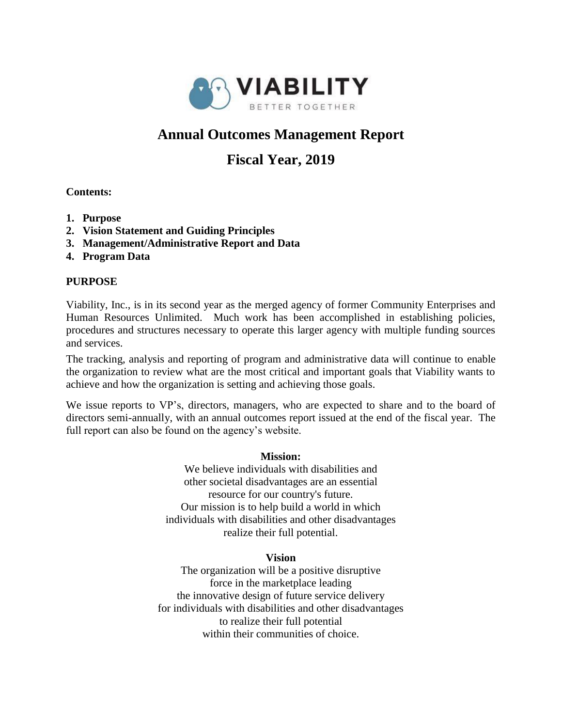

# **Annual Outcomes Management Report**

# **Fiscal Year, 2019**

# **Contents:**

- **1. Purpose**
- **2. Vision Statement and Guiding Principles**
- **3. Management/Administrative Report and Data**
- **4. Program Data**

# **PURPOSE**

Viability, Inc., is in its second year as the merged agency of former Community Enterprises and Human Resources Unlimited. Much work has been accomplished in establishing policies, procedures and structures necessary to operate this larger agency with multiple funding sources and services.

The tracking, analysis and reporting of program and administrative data will continue to enable the organization to review what are the most critical and important goals that Viability wants to achieve and how the organization is setting and achieving those goals.

We issue reports to VP's, directors, managers, who are expected to share and to the board of directors semi-annually, with an annual outcomes report issued at the end of the fiscal year. The full report can also be found on the agency's website.

#### **Mission:**

We believe individuals with disabilities and other societal disadvantages are an essential resource for our country's future. Our mission is to help build a world in which individuals with disabilities and other disadvantages realize their full potential.

# **Vision**

The organization will be a positive disruptive force in the marketplace leading the innovative design of future service delivery for individuals with disabilities and other disadvantages to realize their full potential within their communities of choice.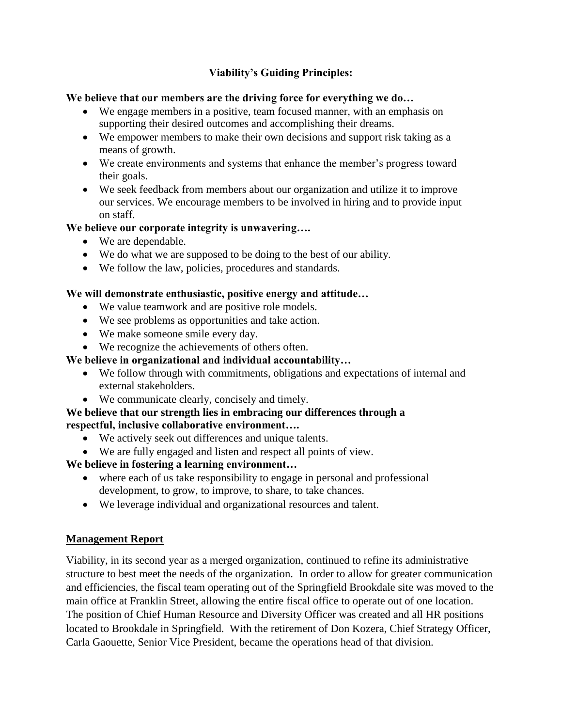# **Viability's Guiding Principles:**

# **We believe that our members are the driving force for everything we do…**

- We engage members in a positive, team focused manner, with an emphasis on supporting their desired outcomes and accomplishing their dreams.
- We empower members to make their own decisions and support risk taking as a means of growth.
- We create environments and systems that enhance the member's progress toward their goals.
- We seek feedback from members about our organization and utilize it to improve our services. We encourage members to be involved in hiring and to provide input on staff.

# **We believe our corporate integrity is unwavering….**

- We are dependable.
- We do what we are supposed to be doing to the best of our ability.
- We follow the law, policies, procedures and standards.

# **We will demonstrate enthusiastic, positive energy and attitude…**

- We value teamwork and are positive role models.
- We see problems as opportunities and take action.
- We make someone smile every day.
- We recognize the achievements of others often.

# **We believe in organizational and individual accountability…**

- We follow through with commitments, obligations and expectations of internal and external stakeholders.
- We communicate clearly, concisely and timely.

# **We believe that our strength lies in embracing our differences through a respectful, inclusive collaborative environment….**

- We actively seek out differences and unique talents.
- We are fully engaged and listen and respect all points of view.

# **We believe in fostering a learning environment…**

- where each of us take responsibility to engage in personal and professional development, to grow, to improve, to share, to take chances.
- We leverage individual and organizational resources and talent.

# **Management Report**

Viability, in its second year as a merged organization, continued to refine its administrative structure to best meet the needs of the organization. In order to allow for greater communication and efficiencies, the fiscal team operating out of the Springfield Brookdale site was moved to the main office at Franklin Street, allowing the entire fiscal office to operate out of one location. The position of Chief Human Resource and Diversity Officer was created and all HR positions located to Brookdale in Springfield. With the retirement of Don Kozera, Chief Strategy Officer, Carla Gaouette, Senior Vice President, became the operations head of that division.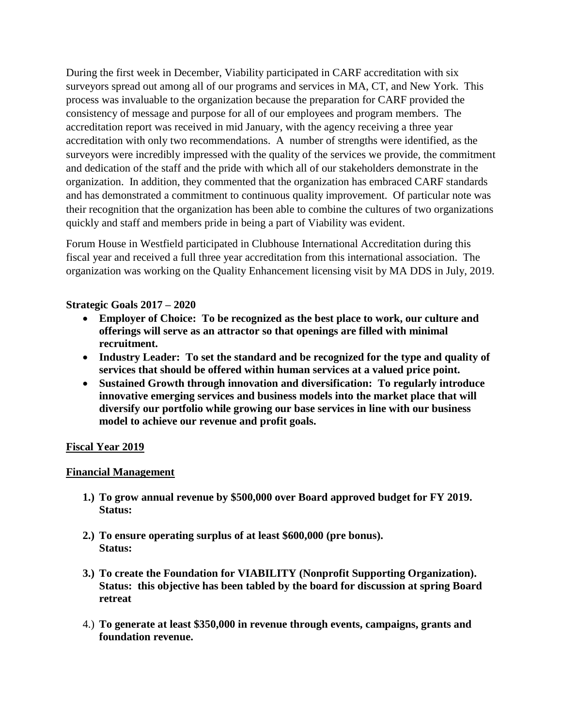During the first week in December, Viability participated in CARF accreditation with six surveyors spread out among all of our programs and services in MA, CT, and New York. This process was invaluable to the organization because the preparation for CARF provided the consistency of message and purpose for all of our employees and program members. The accreditation report was received in mid January, with the agency receiving a three year accreditation with only two recommendations. A number of strengths were identified, as the surveyors were incredibly impressed with the quality of the services we provide, the commitment and dedication of the staff and the pride with which all of our stakeholders demonstrate in the organization. In addition, they commented that the organization has embraced CARF standards and has demonstrated a commitment to continuous quality improvement. Of particular note was their recognition that the organization has been able to combine the cultures of two organizations quickly and staff and members pride in being a part of Viability was evident.

Forum House in Westfield participated in Clubhouse International Accreditation during this fiscal year and received a full three year accreditation from this international association. The organization was working on the Quality Enhancement licensing visit by MA DDS in July, 2019.

# **Strategic Goals 2017 – 2020**

- **Employer of Choice: To be recognized as the best place to work, our culture and offerings will serve as an attractor so that openings are filled with minimal recruitment.**
- **Industry Leader: To set the standard and be recognized for the type and quality of services that should be offered within human services at a valued price point.**
- **Sustained Growth through innovation and diversification: To regularly introduce innovative emerging services and business models into the market place that will diversify our portfolio while growing our base services in line with our business model to achieve our revenue and profit goals.**

#### **Fiscal Year 2019**

#### **Financial Management**

- **1.) To grow annual revenue by \$500,000 over Board approved budget for FY 2019. Status:**
- **2.) To ensure operating surplus of at least \$600,000 (pre bonus). Status:**
- **3.) To create the Foundation for VIABILITY (Nonprofit Supporting Organization). Status: this objective has been tabled by the board for discussion at spring Board retreat**
- 4.) **To generate at least \$350,000 in revenue through events, campaigns, grants and foundation revenue.**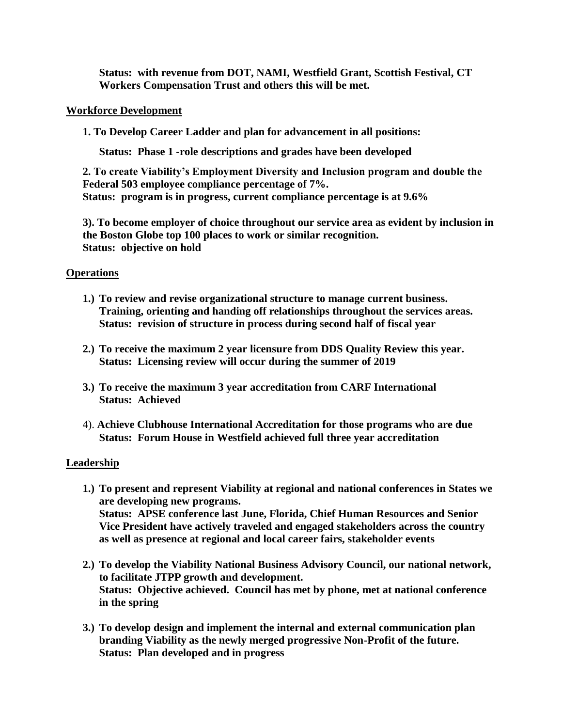**Status: with revenue from DOT, NAMI, Westfield Grant, Scottish Festival, CT Workers Compensation Trust and others this will be met.**

#### **Workforce Development**

**1. To Develop Career Ladder and plan for advancement in all positions:**

**Status: Phase 1 -role descriptions and grades have been developed**

**2. To create Viability's Employment Diversity and Inclusion program and double the Federal 503 employee compliance percentage of 7%. Status: program is in progress, current compliance percentage is at 9.6%**

**3). To become employer of choice throughout our service area as evident by inclusion in the Boston Globe top 100 places to work or similar recognition. Status: objective on hold**

### **Operations**

- **1.) To review and revise organizational structure to manage current business. Training, orienting and handing off relationships throughout the services areas. Status: revision of structure in process during second half of fiscal year**
- **2.) To receive the maximum 2 year licensure from DDS Quality Review this year. Status: Licensing review will occur during the summer of 2019**
- **3.) To receive the maximum 3 year accreditation from CARF International Status: Achieved**
- 4). **Achieve Clubhouse International Accreditation for those programs who are due Status: Forum House in Westfield achieved full three year accreditation**

#### **Leadership**

- **1.) To present and represent Viability at regional and national conferences in States we are developing new programs. Status: APSE conference last June, Florida, Chief Human Resources and Senior Vice President have actively traveled and engaged stakeholders across the country as well as presence at regional and local career fairs, stakeholder events**
- **2.) To develop the Viability National Business Advisory Council, our national network, to facilitate JTPP growth and development. Status: Objective achieved. Council has met by phone, met at national conference in the spring**
- **3.) To develop design and implement the internal and external communication plan branding Viability as the newly merged progressive Non-Profit of the future. Status: Plan developed and in progress**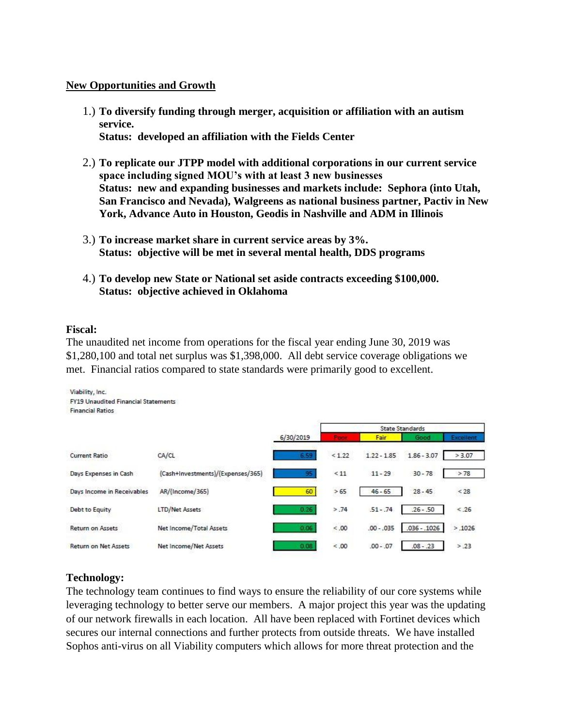#### **New Opportunities and Growth**

- 1.) **To diversify funding through merger, acquisition or affiliation with an autism service. Status: developed an affiliation with the Fields Center**
- 2.) **To replicate our JTPP model with additional corporations in our current service space including signed MOU's with at least 3 new businesses Status: new and expanding businesses and markets include: Sephora (into Utah, San Francisco and Nevada), Walgreens as national business partner, Pactiv in New York, Advance Auto in Houston, Geodis in Nashville and ADM in Illinois**
- 3.) **To increase market share in current service areas by 3%. Status: objective will be met in several mental health, DDS programs**
- 4.) **To develop new State or National set aside contracts exceeding \$100,000. Status: objective achieved in Oklahoma**

#### **Fiscal:**

The unaudited net income from operations for the fiscal year ending June 30, 2019 was \$1,280,100 and total net surplus was \$1,398,000. All debt service coverage obligations we met. Financial ratios compared to state standards were primarily good to excellent.



#### **Technology:**

The technology team continues to find ways to ensure the reliability of our core systems while leveraging technology to better serve our members. A major project this year was the updating of our network firewalls in each location. All have been replaced with Fortinet devices which secures our internal connections and further protects from outside threats. We have installed Sophos anti-virus on all Viability computers which allows for more threat protection and the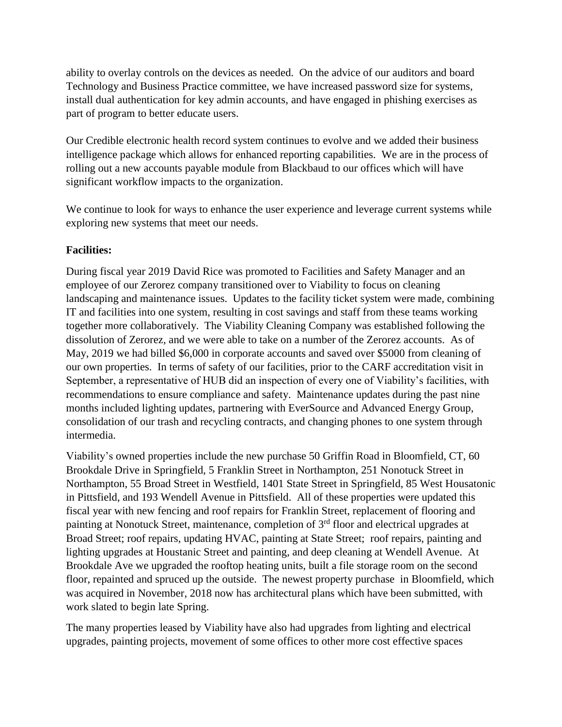ability to overlay controls on the devices as needed. On the advice of our auditors and board Technology and Business Practice committee, we have increased password size for systems, install dual authentication for key admin accounts, and have engaged in phishing exercises as part of program to better educate users.

Our Credible electronic health record system continues to evolve and we added their business intelligence package which allows for enhanced reporting capabilities. We are in the process of rolling out a new accounts payable module from Blackbaud to our offices which will have significant workflow impacts to the organization.

We continue to look for ways to enhance the user experience and leverage current systems while exploring new systems that meet our needs.

# **Facilities:**

During fiscal year 2019 David Rice was promoted to Facilities and Safety Manager and an employee of our Zerorez company transitioned over to Viability to focus on cleaning landscaping and maintenance issues. Updates to the facility ticket system were made, combining IT and facilities into one system, resulting in cost savings and staff from these teams working together more collaboratively. The Viability Cleaning Company was established following the dissolution of Zerorez, and we were able to take on a number of the Zerorez accounts. As of May, 2019 we had billed \$6,000 in corporate accounts and saved over \$5000 from cleaning of our own properties. In terms of safety of our facilities, prior to the CARF accreditation visit in September, a representative of HUB did an inspection of every one of Viability's facilities, with recommendations to ensure compliance and safety. Maintenance updates during the past nine months included lighting updates, partnering with EverSource and Advanced Energy Group, consolidation of our trash and recycling contracts, and changing phones to one system through intermedia.

Viability's owned properties include the new purchase 50 Griffin Road in Bloomfield, CT, 60 Brookdale Drive in Springfield, 5 Franklin Street in Northampton, 251 Nonotuck Street in Northampton, 55 Broad Street in Westfield, 1401 State Street in Springfield, 85 West Housatonic in Pittsfield, and 193 Wendell Avenue in Pittsfield. All of these properties were updated this fiscal year with new fencing and roof repairs for Franklin Street, replacement of flooring and painting at Nonotuck Street, maintenance, completion of 3<sup>rd</sup> floor and electrical upgrades at Broad Street; roof repairs, updating HVAC, painting at State Street; roof repairs, painting and lighting upgrades at Houstanic Street and painting, and deep cleaning at Wendell Avenue. At Brookdale Ave we upgraded the rooftop heating units, built a file storage room on the second floor, repainted and spruced up the outside. The newest property purchase in Bloomfield, which was acquired in November, 2018 now has architectural plans which have been submitted, with work slated to begin late Spring.

The many properties leased by Viability have also had upgrades from lighting and electrical upgrades, painting projects, movement of some offices to other more cost effective spaces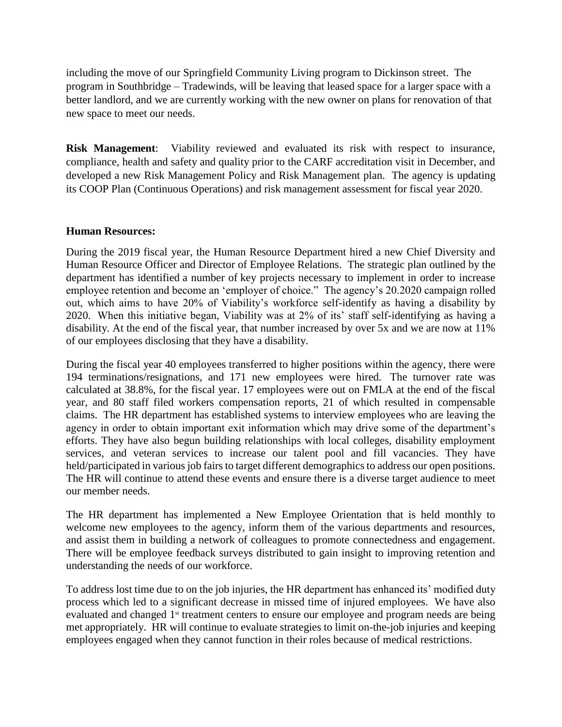including the move of our Springfield Community Living program to Dickinson street. The program in Southbridge – Tradewinds, will be leaving that leased space for a larger space with a better landlord, and we are currently working with the new owner on plans for renovation of that new space to meet our needs.

**Risk Management**: Viability reviewed and evaluated its risk with respect to insurance, compliance, health and safety and quality prior to the CARF accreditation visit in December, and developed a new Risk Management Policy and Risk Management plan. The agency is updating its COOP Plan (Continuous Operations) and risk management assessment for fiscal year 2020.

#### **Human Resources:**

During the 2019 fiscal year, the Human Resource Department hired a new Chief Diversity and Human Resource Officer and Director of Employee Relations. The strategic plan outlined by the department has identified a number of key projects necessary to implement in order to increase employee retention and become an 'employer of choice." The agency's 20.2020 campaign rolled out, which aims to have 20% of Viability's workforce self-identify as having a disability by 2020. When this initiative began, Viability was at 2% of its' staff self-identifying as having a disability. At the end of the fiscal year, that number increased by over 5x and we are now at 11% of our employees disclosing that they have a disability.

During the fiscal year 40 employees transferred to higher positions within the agency, there were 194 terminations/resignations, and 171 new employees were hired. The turnover rate was calculated at 38.8%, for the fiscal year. 17 employees were out on FMLA at the end of the fiscal year, and 80 staff filed workers compensation reports, 21 of which resulted in compensable claims. The HR department has established systems to interview employees who are leaving the agency in order to obtain important exit information which may drive some of the department's efforts. They have also begun building relationships with local colleges, disability employment services, and veteran services to increase our talent pool and fill vacancies. They have held/participated in various job fairs to target different demographics to address our open positions. The HR will continue to attend these events and ensure there is a diverse target audience to meet our member needs.

The HR department has implemented a New Employee Orientation that is held monthly to welcome new employees to the agency, inform them of the various departments and resources, and assist them in building a network of colleagues to promote connectedness and engagement. There will be employee feedback surveys distributed to gain insight to improving retention and understanding the needs of our workforce.

To address lost time due to on the job injuries, the HR department has enhanced its' modified duty process which led to a significant decrease in missed time of injured employees. We have also evaluated and changed 1<sup>st</sup> treatment centers to ensure our employee and program needs are being met appropriately. HR will continue to evaluate strategies to limit on-the-job injuries and keeping employees engaged when they cannot function in their roles because of medical restrictions.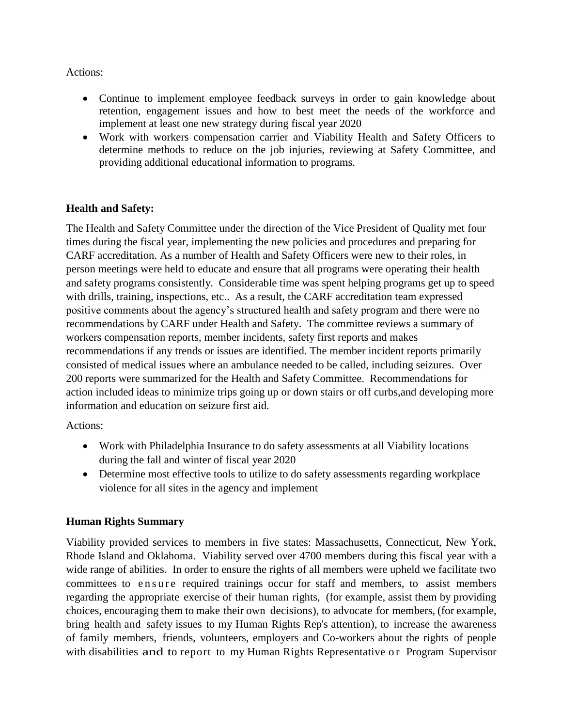Actions:

- Continue to implement employee feedback surveys in order to gain knowledge about retention, engagement issues and how to best meet the needs of the workforce and implement at least one new strategy during fiscal year 2020
- Work with workers compensation carrier and Viability Health and Safety Officers to determine methods to reduce on the job injuries, reviewing at Safety Committee, and providing additional educational information to programs.

# **Health and Safety:**

The Health and Safety Committee under the direction of the Vice President of Quality met four times during the fiscal year, implementing the new policies and procedures and preparing for CARF accreditation. As a number of Health and Safety Officers were new to their roles, in person meetings were held to educate and ensure that all programs were operating their health and safety programs consistently. Considerable time was spent helping programs get up to speed with drills, training, inspections, etc.. As a result, the CARF accreditation team expressed positive comments about the agency's structured health and safety program and there were no recommendations by CARF under Health and Safety. The committee reviews a summary of workers compensation reports, member incidents, safety first reports and makes recommendations if any trends or issues are identified. The member incident reports primarily consisted of medical issues where an ambulance needed to be called, including seizures. Over 200 reports were summarized for the Health and Safety Committee. Recommendations for action included ideas to minimize trips going up or down stairs or off curbs,and developing more information and education on seizure first aid.

Actions:

- Work with Philadelphia Insurance to do safety assessments at all Viability locations during the fall and winter of fiscal year 2020
- Determine most effective tools to utilize to do safety assessments regarding workplace violence for all sites in the agency and implement

# **Human Rights Summary**

Viability provided services to members in five states: Massachusetts, Connecticut, New York, Rhode Island and Oklahoma. Viability served over 4700 members during this fiscal year with a wide range of abilities. In order to ensure the rights of all members were upheld we facilitate two committees to ensure required trainings occur for staff and members, to assist members regarding the appropriate exercise of their human rights, (for example, assist them by providing choices, encouraging them to make their own decisions), to advocate for members, (for example, bring health and safety issues to my Human Rights Rep's attention), to increase the awareness of family members, friends, volunteers, employers and Co-workers about the rights of people with disabilities and to report to my Human Rights Representative or Program Supervisor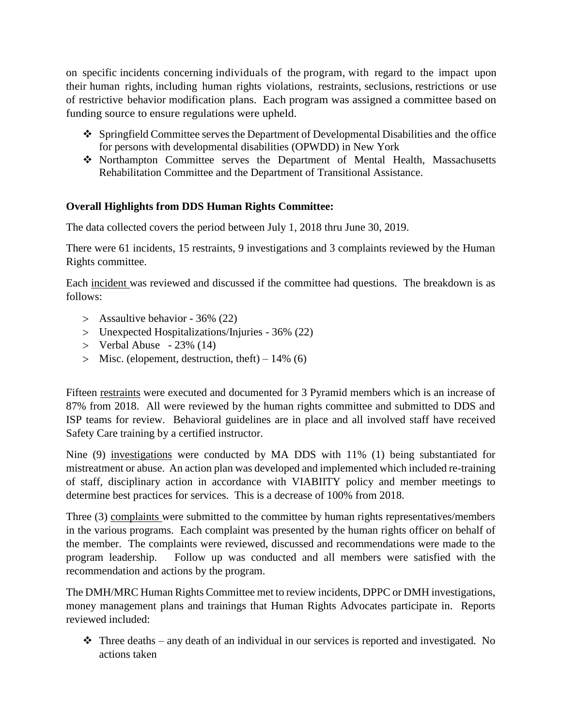on specific incidents concerning individuals of the program, with regard to the impact upon their human rights, including human rights violations, restraints, seclusions, restrictions or use of restrictive behavior modification plans. Each program was assigned a committee based on funding source to ensure regulations were upheld.

- $\div$  Springfield Committee serves the Department of Developmental Disabilities and the office for persons with developmental disabilities (OPWDD) in New York
- Northampton Committee serves the Department of Mental Health, Massachusetts Rehabilitation Committee and the Department of Transitional Assistance.

# **Overall Highlights from DDS Human Rights Committee:**

The data collected covers the period between July 1, 2018 thru June 30, 2019.

There were 61 incidents, 15 restraints, 9 investigations and 3 complaints reviewed by the Human Rights committee.

Each incident was reviewed and discussed if the committee had questions. The breakdown is as follows:

- Assaultive behavior 36% (22)
- Unexpected Hospitalizations/Injuries 36% (22)
- $>$  Verbal Abuse  $-23\%$  (14)
- $>$  Misc. (elopement, destruction, theft) 14% (6)

Fifteen restraints were executed and documented for 3 Pyramid members which is an increase of 87% from 2018. All were reviewed by the human rights committee and submitted to DDS and ISP teams for review. Behavioral guidelines are in place and all involved staff have received Safety Care training by a certified instructor.

Nine (9) investigations were conducted by MA DDS with 11% (1) being substantiated for mistreatment or abuse. An action plan was developed and implemented which included re-training of staff, disciplinary action in accordance with VIABIITY policy and member meetings to determine best practices for services. This is a decrease of 100% from 2018.

Three (3) complaints were submitted to the committee by human rights representatives/members in the various programs. Each complaint was presented by the human rights officer on behalf of the member. The complaints were reviewed, discussed and recommendations were made to the program leadership. Follow up was conducted and all members were satisfied with the recommendation and actions by the program.

The DMH/MRC Human Rights Committee met to review incidents, DPPC or DMH investigations, money management plans and trainings that Human Rights Advocates participate in. Reports reviewed included:

 $\hat{\mathbf{\cdot}}$  Three deaths – any death of an individual in our services is reported and investigated. No actions taken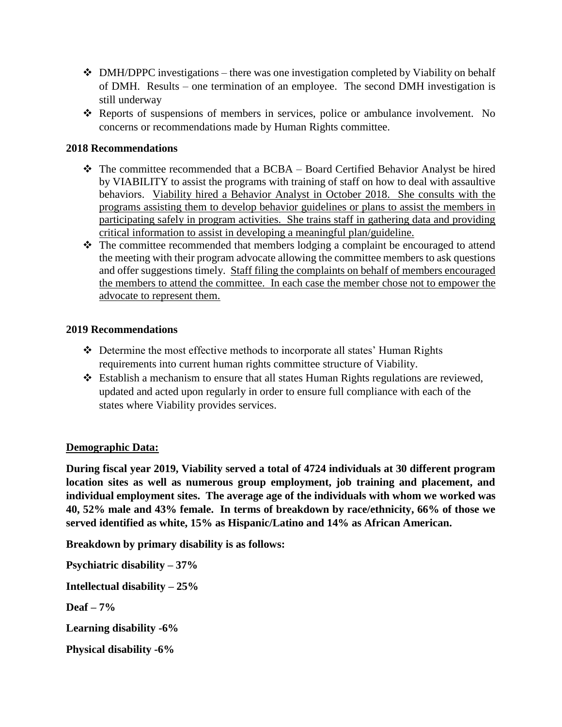- $\div$  DMH/DPPC investigations there was one investigation completed by Viability on behalf of DMH. Results – one termination of an employee. The second DMH investigation is still underway
- Reports of suspensions of members in services, police or ambulance involvement. No concerns or recommendations made by Human Rights committee.

## **2018 Recommendations**

- $\div$  The committee recommended that a BCBA Board Certified Behavior Analyst be hired by VIABILITY to assist the programs with training of staff on how to deal with assaultive behaviors. Viability hired a Behavior Analyst in October 2018. She consults with the programs assisting them to develop behavior guidelines or plans to assist the members in participating safely in program activities. She trains staff in gathering data and providing critical information to assist in developing a meaningful plan/guideline.
- $\triangle$  The committee recommended that members lodging a complaint be encouraged to attend the meeting with their program advocate allowing the committee members to ask questions and offer suggestions timely. Staff filing the complaints on behalf of members encouraged the members to attend the committee. In each case the member chose not to empower the advocate to represent them.

#### **2019 Recommendations**

- Determine the most effective methods to incorporate all states' Human Rights requirements into current human rights committee structure of Viability.
- Establish a mechanism to ensure that all states Human Rights regulations are reviewed, updated and acted upon regularly in order to ensure full compliance with each of the states where Viability provides services.

#### **Demographic Data:**

**During fiscal year 2019, Viability served a total of 4724 individuals at 30 different program location sites as well as numerous group employment, job training and placement, and individual employment sites. The average age of the individuals with whom we worked was 40, 52% male and 43% female. In terms of breakdown by race/ethnicity, 66% of those we served identified as white, 15% as Hispanic/Latino and 14% as African American.** 

**Breakdown by primary disability is as follows:**

**Psychiatric disability – 37% Intellectual disability – 25% Deaf – 7% Learning disability -6% Physical disability -6%**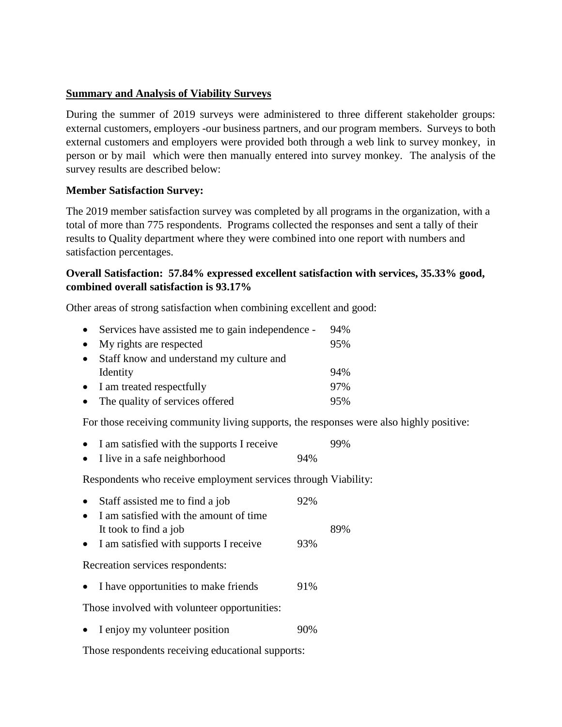## **Summary and Analysis of Viability Surveys**

During the summer of 2019 surveys were administered to three different stakeholder groups: external customers, employers -our business partners, and our program members. Surveys to both external customers and employers were provided both through a web link to survey monkey, in person or by mail which were then manually entered into survey monkey. The analysis of the survey results are described below:

### **Member Satisfaction Survey:**

The 2019 member satisfaction survey was completed by all programs in the organization, with a total of more than 775 respondents. Programs collected the responses and sent a tally of their results to Quality department where they were combined into one report with numbers and satisfaction percentages.

# **Overall Satisfaction: 57.84% expressed excellent satisfaction with services, 35.33% good, combined overall satisfaction is 93.17%**

Other areas of strong satisfaction when combining excellent and good:

| $\bullet$ | Services have assisted me to gain independence - | 94% |
|-----------|--------------------------------------------------|-----|
| $\bullet$ | My rights are respected                          | 95% |
| $\bullet$ | Staff know and understand my culture and         |     |
|           | Identity                                         | 94% |
|           | • I am treated respectfully                      | 97% |
|           | • The quality of services offered                | 95% |

For those receiving community living supports, the responses were also highly positive:

|  |  |  | • I am satisfied with the supports I receive |                     | 99% |
|--|--|--|----------------------------------------------|---------------------|-----|
|  |  |  |                                              | $\bigcap$ $\bigcap$ |     |

• I live in a safe neighborhood 94%

Respondents who receive employment services through Viability:

| $\bullet$ | Staff assisted me to find a job          | 92% |     |
|-----------|------------------------------------------|-----|-----|
| $\bullet$ | I am satisfied with the amount of time   |     |     |
|           | It took to find a job                    |     | 89% |
|           | • I am satisfied with supports I receive | 93% |     |
|           | Recreation services respondents:         |     |     |

• I have opportunities to make friends 91%

Those involved with volunteer opportunities:

• I enjoy my volunteer position 90%

Those respondents receiving educational supports: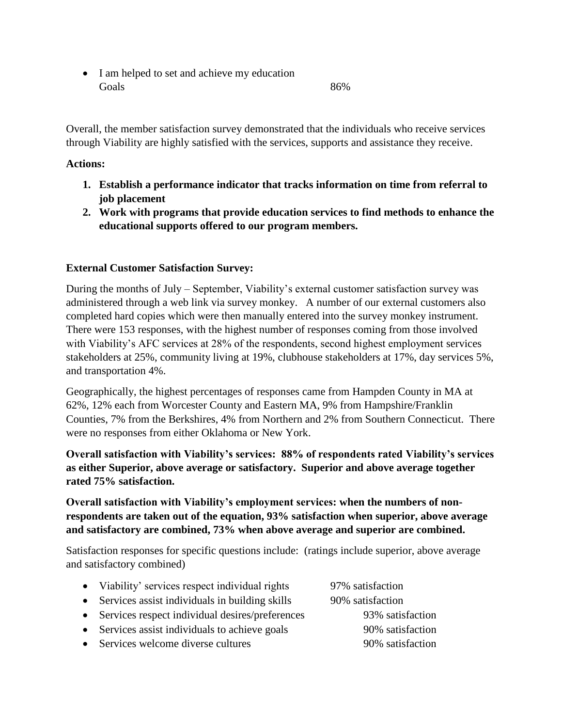• I am helped to set and achieve my education Goals 86%

Overall, the member satisfaction survey demonstrated that the individuals who receive services through Viability are highly satisfied with the services, supports and assistance they receive.

# **Actions:**

- **1. Establish a performance indicator that tracks information on time from referral to job placement**
- **2. Work with programs that provide education services to find methods to enhance the educational supports offered to our program members.**

# **External Customer Satisfaction Survey:**

During the months of July – September, Viability's external customer satisfaction survey was administered through a web link via survey monkey. A number of our external customers also completed hard copies which were then manually entered into the survey monkey instrument. There were 153 responses, with the highest number of responses coming from those involved with Viability's AFC services at 28% of the respondents, second highest employment services stakeholders at 25%, community living at 19%, clubhouse stakeholders at 17%, day services 5%, and transportation 4%.

Geographically, the highest percentages of responses came from Hampden County in MA at 62%, 12% each from Worcester County and Eastern MA, 9% from Hampshire/Franklin Counties, 7% from the Berkshires, 4% from Northern and 2% from Southern Connecticut. There were no responses from either Oklahoma or New York.

# **Overall satisfaction with Viability's services: 88% of respondents rated Viability's services as either Superior, above average or satisfactory. Superior and above average together rated 75% satisfaction.**

**Overall satisfaction with Viability's employment services: when the numbers of nonrespondents are taken out of the equation, 93% satisfaction when superior, above average and satisfactory are combined, 73% when above average and superior are combined.**

Satisfaction responses for specific questions include: (ratings include superior, above average and satisfactory combined)

| • Viability' services respect individual rights   | 97% satisfaction |
|---------------------------------------------------|------------------|
| • Services assist individuals in building skills  | 90% satisfaction |
| • Services respect individual desires/preferences | 93% satisfaction |
| • Services assist individuals to achieve goals    | 90% satisfaction |
| • Services welcome diverse cultures               | 90% satisfaction |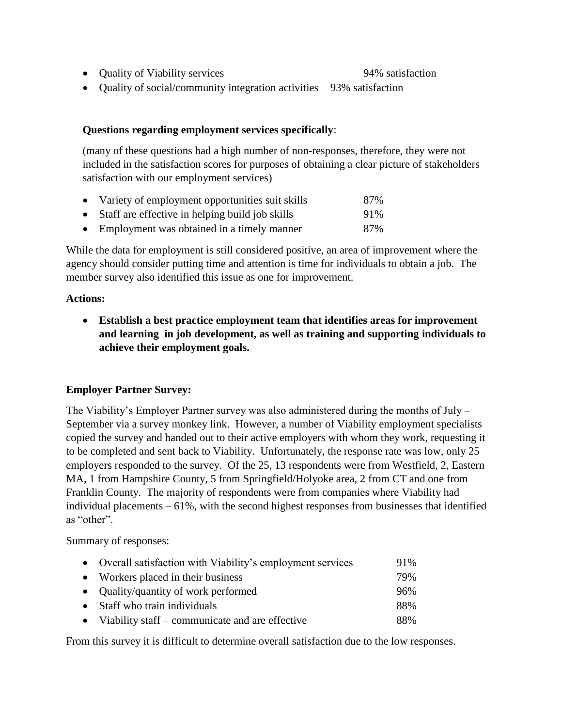• Quality of Viability services 94% satisfaction

Quality of social/community integration activities 93% satisfaction

## **Questions regarding employment services specifically**:

(many of these questions had a high number of non-responses, therefore, they were not included in the satisfaction scores for purposes of obtaining a clear picture of stakeholders satisfaction with our employment services)

- Variety of employment opportunities suit skills 87%
- Staff are effective in helping build job skills 91%
- Employment was obtained in a timely manner 87%

While the data for employment is still considered positive, an area of improvement where the agency should consider putting time and attention is time for individuals to obtain a job. The member survey also identified this issue as one for improvement.

### **Actions:**

 **Establish a best practice employment team that identifies areas for improvement and learning in job development, as well as training and supporting individuals to achieve their employment goals.**

# **Employer Partner Survey:**

The Viability's Employer Partner survey was also administered during the months of July – September via a survey monkey link. However, a number of Viability employment specialists copied the survey and handed out to their active employers with whom they work, requesting it to be completed and sent back to Viability. Unfortunately, the response rate was low, only 25 employers responded to the survey. Of the 25, 13 respondents were from Westfield, 2, Eastern MA, 1 from Hampshire County, 5 from Springfield/Holyoke area, 2 from CT and one from Franklin County. The majority of respondents were from companies where Viability had individual placements – 61%, with the second highest responses from businesses that identified as "other".

Summary of responses:

| • Overall satisfaction with Viability's employment services | 91% |
|-------------------------------------------------------------|-----|
| • Workers placed in their business                          | 79% |
| • Quality/quantity of work performed                        | 96% |
| • Staff who train individuals                               | 88% |
| • Viability staff – communicate and are effective           | 88% |

From this survey it is difficult to determine overall satisfaction due to the low responses.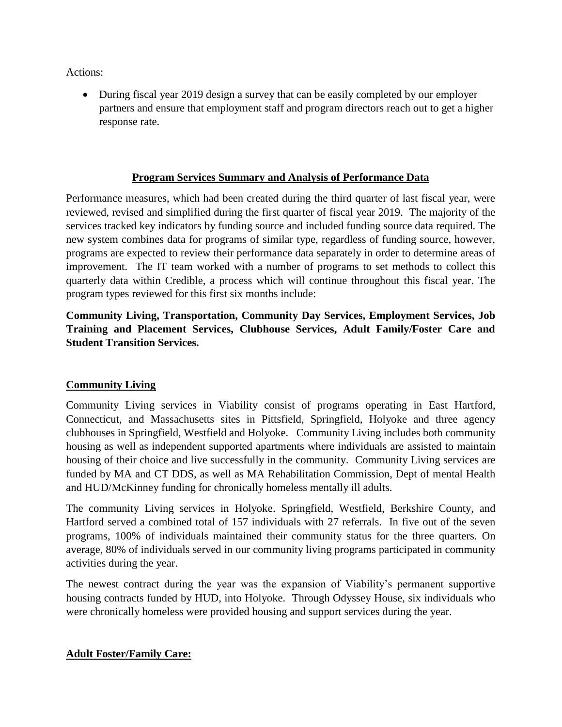Actions:

 During fiscal year 2019 design a survey that can be easily completed by our employer partners and ensure that employment staff and program directors reach out to get a higher response rate.

# **Program Services Summary and Analysis of Performance Data**

Performance measures, which had been created during the third quarter of last fiscal year, were reviewed, revised and simplified during the first quarter of fiscal year 2019. The majority of the services tracked key indicators by funding source and included funding source data required. The new system combines data for programs of similar type, regardless of funding source, however, programs are expected to review their performance data separately in order to determine areas of improvement. The IT team worked with a number of programs to set methods to collect this quarterly data within Credible, a process which will continue throughout this fiscal year. The program types reviewed for this first six months include:

# **Community Living, Transportation, Community Day Services, Employment Services, Job Training and Placement Services, Clubhouse Services, Adult Family/Foster Care and Student Transition Services.**

# **Community Living**

Community Living services in Viability consist of programs operating in East Hartford, Connecticut, and Massachusetts sites in Pittsfield, Springfield, Holyoke and three agency clubhouses in Springfield, Westfield and Holyoke. Community Living includes both community housing as well as independent supported apartments where individuals are assisted to maintain housing of their choice and live successfully in the community. Community Living services are funded by MA and CT DDS, as well as MA Rehabilitation Commission, Dept of mental Health and HUD/McKinney funding for chronically homeless mentally ill adults.

The community Living services in Holyoke. Springfield, Westfield, Berkshire County, and Hartford served a combined total of 157 individuals with 27 referrals. In five out of the seven programs, 100% of individuals maintained their community status for the three quarters. On average, 80% of individuals served in our community living programs participated in community activities during the year.

The newest contract during the year was the expansion of Viability's permanent supportive housing contracts funded by HUD, into Holyoke. Through Odyssey House, six individuals who were chronically homeless were provided housing and support services during the year.

# **Adult Foster/Family Care:**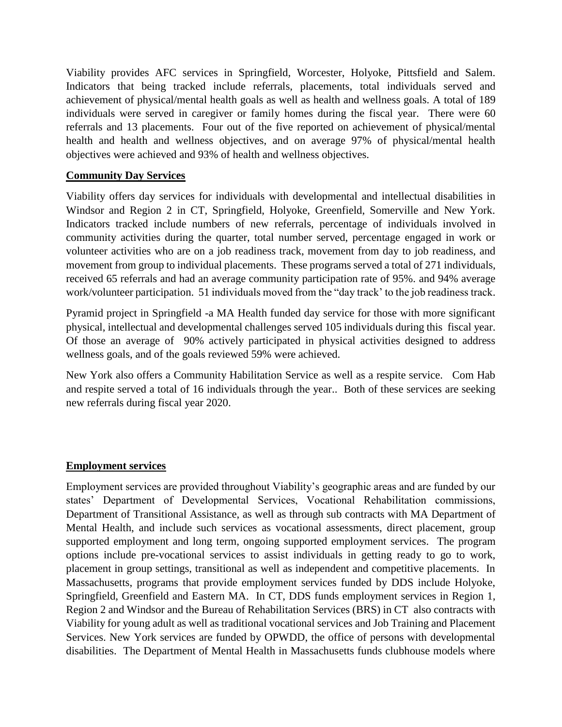Viability provides AFC services in Springfield, Worcester, Holyoke, Pittsfield and Salem. Indicators that being tracked include referrals, placements, total individuals served and achievement of physical/mental health goals as well as health and wellness goals. A total of 189 individuals were served in caregiver or family homes during the fiscal year. There were 60 referrals and 13 placements. Four out of the five reported on achievement of physical/mental health and health and wellness objectives, and on average 97% of physical/mental health objectives were achieved and 93% of health and wellness objectives.

## **Community Day Services**

Viability offers day services for individuals with developmental and intellectual disabilities in Windsor and Region 2 in CT, Springfield, Holyoke, Greenfield, Somerville and New York. Indicators tracked include numbers of new referrals, percentage of individuals involved in community activities during the quarter, total number served, percentage engaged in work or volunteer activities who are on a job readiness track, movement from day to job readiness, and movement from group to individual placements. These programs served a total of 271 individuals, received 65 referrals and had an average community participation rate of 95%. and 94% average work/volunteer participation. 51 individuals moved from the "day track' to the job readiness track.

Pyramid project in Springfield -a MA Health funded day service for those with more significant physical, intellectual and developmental challenges served 105 individuals during this fiscal year. Of those an average of 90% actively participated in physical activities designed to address wellness goals, and of the goals reviewed 59% were achieved.

New York also offers a Community Habilitation Service as well as a respite service. Com Hab and respite served a total of 16 individuals through the year.. Both of these services are seeking new referrals during fiscal year 2020.

#### **Employment services**

Employment services are provided throughout Viability's geographic areas and are funded by our states' Department of Developmental Services, Vocational Rehabilitation commissions, Department of Transitional Assistance, as well as through sub contracts with MA Department of Mental Health, and include such services as vocational assessments, direct placement, group supported employment and long term, ongoing supported employment services. The program options include pre-vocational services to assist individuals in getting ready to go to work, placement in group settings, transitional as well as independent and competitive placements. In Massachusetts, programs that provide employment services funded by DDS include Holyoke, Springfield, Greenfield and Eastern MA. In CT, DDS funds employment services in Region 1, Region 2 and Windsor and the Bureau of Rehabilitation Services (BRS) in CT also contracts with Viability for young adult as well as traditional vocational services and Job Training and Placement Services. New York services are funded by OPWDD, the office of persons with developmental disabilities. The Department of Mental Health in Massachusetts funds clubhouse models where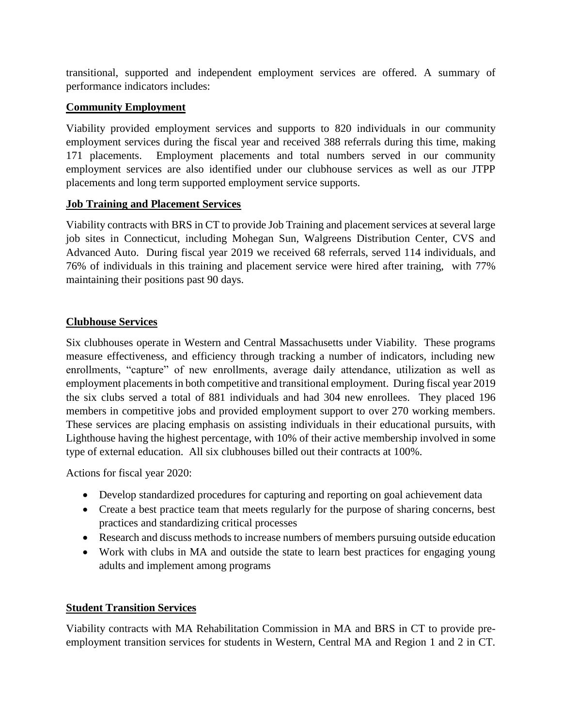transitional, supported and independent employment services are offered. A summary of performance indicators includes:

# **Community Employment**

Viability provided employment services and supports to 820 individuals in our community employment services during the fiscal year and received 388 referrals during this time, making 171 placements. Employment placements and total numbers served in our community employment services are also identified under our clubhouse services as well as our JTPP placements and long term supported employment service supports.

# **Job Training and Placement Services**

Viability contracts with BRS in CT to provide Job Training and placement services at several large job sites in Connecticut, including Mohegan Sun, Walgreens Distribution Center, CVS and Advanced Auto. During fiscal year 2019 we received 68 referrals, served 114 individuals, and 76% of individuals in this training and placement service were hired after training, with 77% maintaining their positions past 90 days.

# **Clubhouse Services**

Six clubhouses operate in Western and Central Massachusetts under Viability. These programs measure effectiveness, and efficiency through tracking a number of indicators, including new enrollments, "capture" of new enrollments, average daily attendance, utilization as well as employment placements in both competitive and transitional employment. During fiscal year 2019 the six clubs served a total of 881 individuals and had 304 new enrollees. They placed 196 members in competitive jobs and provided employment support to over 270 working members. These services are placing emphasis on assisting individuals in their educational pursuits, with Lighthouse having the highest percentage, with 10% of their active membership involved in some type of external education. All six clubhouses billed out their contracts at 100%.

Actions for fiscal year 2020:

- Develop standardized procedures for capturing and reporting on goal achievement data
- Create a best practice team that meets regularly for the purpose of sharing concerns, best practices and standardizing critical processes
- Research and discuss methods to increase numbers of members pursuing outside education
- Work with clubs in MA and outside the state to learn best practices for engaging young adults and implement among programs

# **Student Transition Services**

Viability contracts with MA Rehabilitation Commission in MA and BRS in CT to provide preemployment transition services for students in Western, Central MA and Region 1 and 2 in CT.